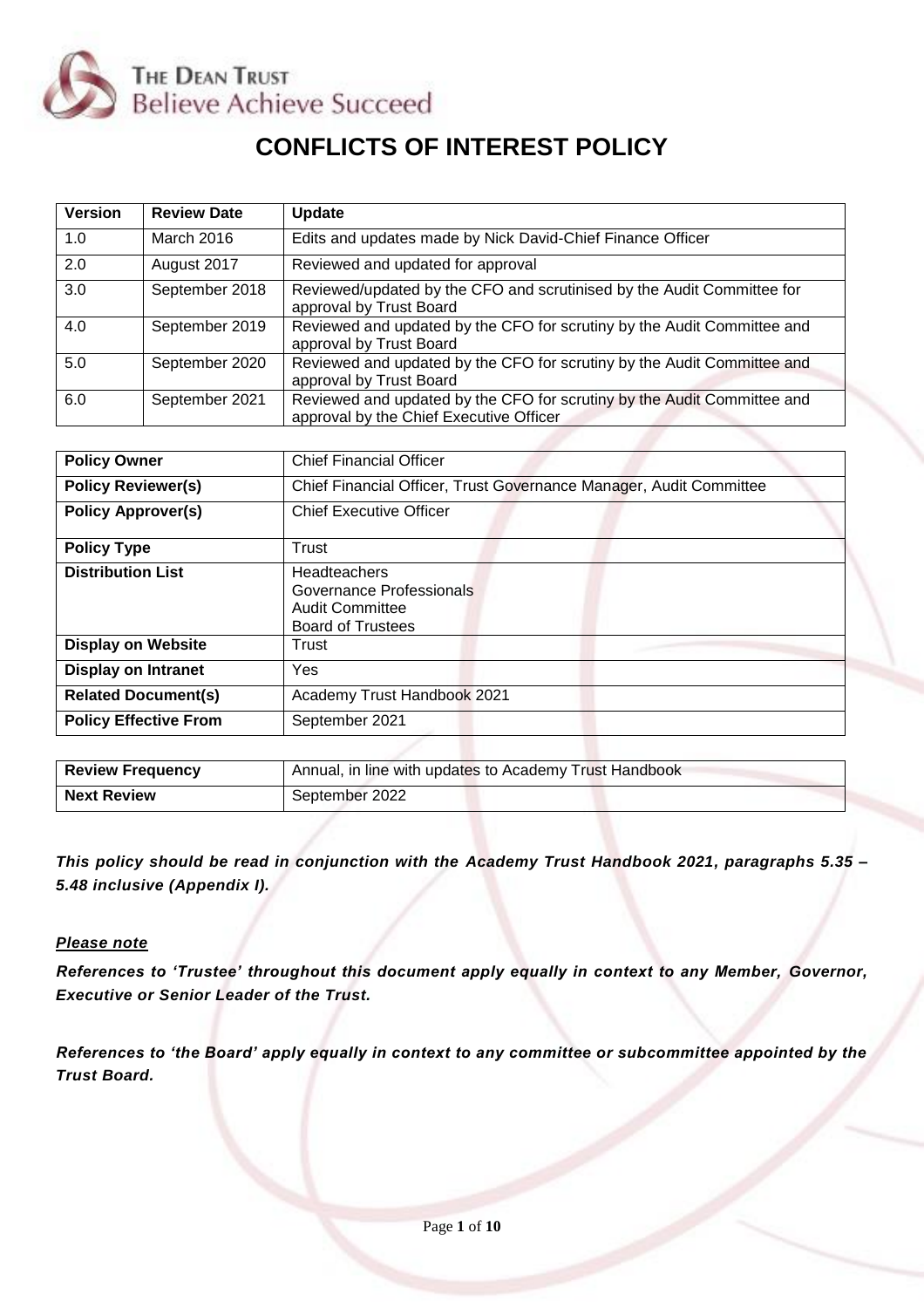

# **CONFLICTS OF INTEREST POLICY**

| <b>Version</b> | <b>Review Date</b> | <b>Update</b>                                                                                                      |
|----------------|--------------------|--------------------------------------------------------------------------------------------------------------------|
| 1.0            | March 2016         | Edits and updates made by Nick David-Chief Finance Officer                                                         |
| 2.0            | August 2017        | Reviewed and updated for approval                                                                                  |
| 3.0            | September 2018     | Reviewed/updated by the CFO and scrutinised by the Audit Committee for<br>approval by Trust Board                  |
| 4.0            | September 2019     | Reviewed and updated by the CFO for scrutiny by the Audit Committee and<br>approval by Trust Board                 |
| 5.0            | September 2020     | Reviewed and updated by the CFO for scrutiny by the Audit Committee and<br>approval by Trust Board                 |
| 6.0            | September 2021     | Reviewed and updated by the CFO for scrutiny by the Audit Committee and<br>approval by the Chief Executive Officer |

| <b>Policy Owner</b>          | <b>Chief Financial Officer</b>                                                          |  |  |
|------------------------------|-----------------------------------------------------------------------------------------|--|--|
| <b>Policy Reviewer(s)</b>    | Chief Financial Officer, Trust Governance Manager, Audit Committee                      |  |  |
| <b>Policy Approver(s)</b>    | <b>Chief Executive Officer</b>                                                          |  |  |
| <b>Policy Type</b>           | Trust                                                                                   |  |  |
| <b>Distribution List</b>     | Headteachers<br>Governance Professionals<br>Audit Committee<br><b>Board of Trustees</b> |  |  |
| <b>Display on Website</b>    | Trust                                                                                   |  |  |
| <b>Display on Intranet</b>   | Yes                                                                                     |  |  |
| <b>Related Document(s)</b>   | Academy Trust Handbook 2021                                                             |  |  |
| <b>Policy Effective From</b> | September 2021                                                                          |  |  |

| <b>Review Frequency</b> | Annual, in line with updates to Academy Trust Handbook |  |  |
|-------------------------|--------------------------------------------------------|--|--|
| <b>Next Review</b>      | September 2022                                         |  |  |

*This policy should be read in conjunction with the Academy Trust Handbook 2021, paragraphs 5.35 – 5.48 inclusive (Appendix I).* 

### *Please note*

*References to 'Trustee' throughout this document apply equally in context to any Member, Governor, Executive or Senior Leader of the Trust.*

*References to 'the Board' apply equally in context to any committee or subcommittee appointed by the Trust Board.*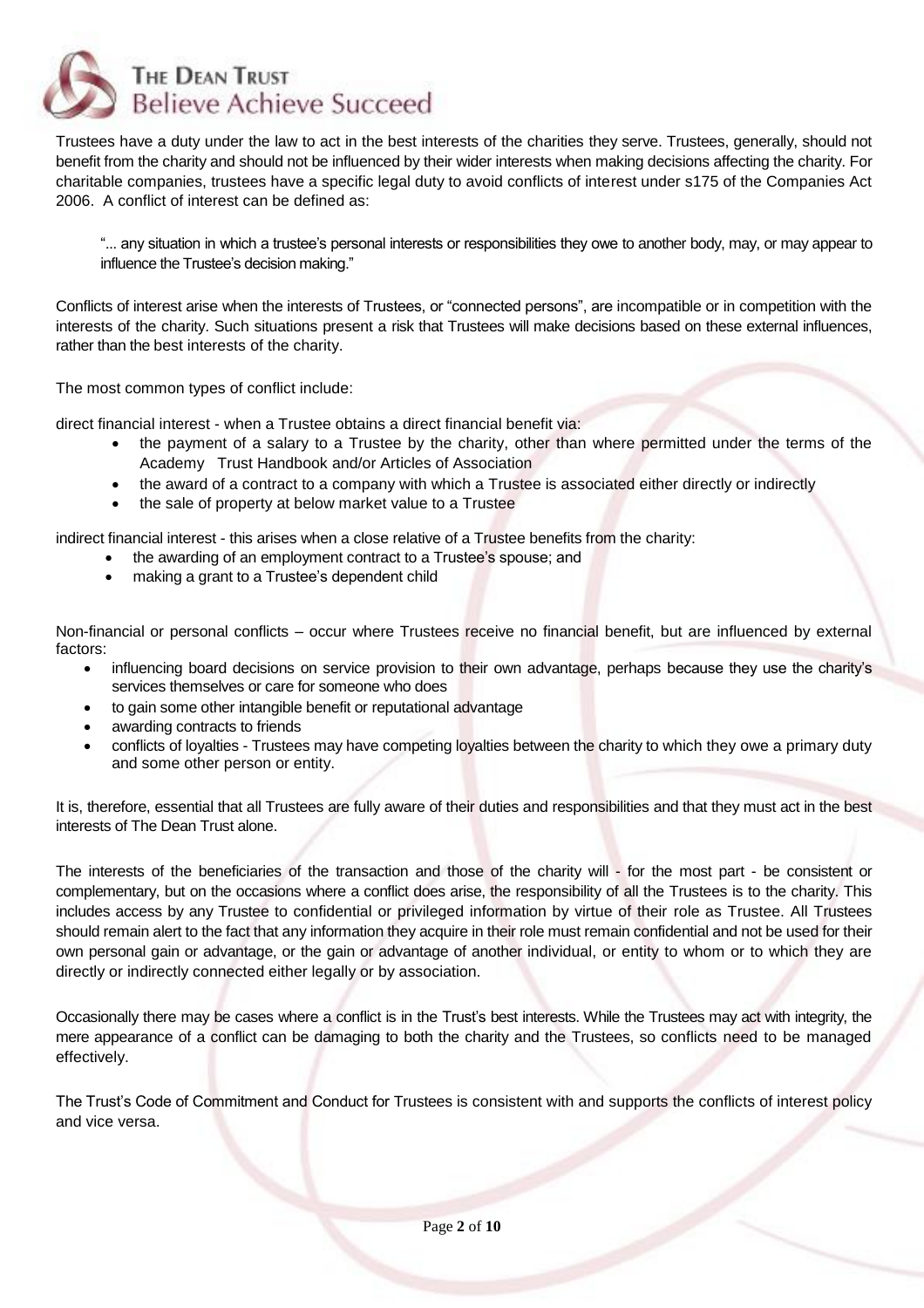

Trustees have a duty under the law to act in the best interests of the charities they serve. Trustees, generally, should not benefit from the charity and should not be influenced by their wider interests when making decisions affecting the charity. For charitable companies, trustees have a specific legal duty to avoid conflicts of interest under s175 of the Companies Act 2006. A conflict of interest can be defined as:

"... any situation in which a trustee's personal interests or responsibilities they owe to another body, may, or may appear to influence the Trustee's decision making."

Conflicts of interest arise when the interests of Trustees, or "connected persons", are incompatible or in competition with the interests of the charity. Such situations present a risk that Trustees will make decisions based on these external influences, rather than the best interests of the charity.

The most common types of conflict include:

direct financial interest - when a Trustee obtains a direct financial benefit via:

- the payment of a salary to a Trustee by the charity, other than where permitted under the terms of the Academy Trust Handbook and/or Articles of Association
- the award of a contract to a company with which a Trustee is associated either directly or indirectly
- the sale of property at below market value to a Trustee

indirect financial interest - this arises when a close relative of a Trustee benefits from the charity:

- the awarding of an employment contract to a Trustee's spouse; and
- making a grant to a Trustee's dependent child

Non-financial or personal conflicts – occur where Trustees receive no financial benefit, but are influenced by external factors:

- influencing board decisions on service provision to their own advantage, perhaps because they use the charity's services themselves or care for someone who does
- to gain some other intangible benefit or reputational advantage
- awarding contracts to friends
- conflicts of loyalties Trustees may have competing loyalties between the charity to which they owe a primary duty and some other person or entity.

It is, therefore, essential that all Trustees are fully aware of their duties and responsibilities and that they must act in the best interests of The Dean Trust alone.

The interests of the beneficiaries of the transaction and those of the charity will - for the most part - be consistent or complementary, but on the occasions where a conflict does arise, the responsibility of all the Trustees is to the charity. This includes access by any Trustee to confidential or privileged information by virtue of their role as Trustee. All Trustees should remain alert to the fact that any information they acquire in their role must remain confidential and not be used for their own personal gain or advantage, or the gain or advantage of another individual, or entity to whom or to which they are directly or indirectly connected either legally or by association.

Occasionally there may be cases where a conflict is in the Trust's best interests. While the Trustees may act with integrity, the mere appearance of a conflict can be damaging to both the charity and the Trustees, so conflicts need to be managed effectively.

The Trust's Code of Commitment and Conduct for Trustees is consistent with and supports the conflicts of interest policy and vice versa.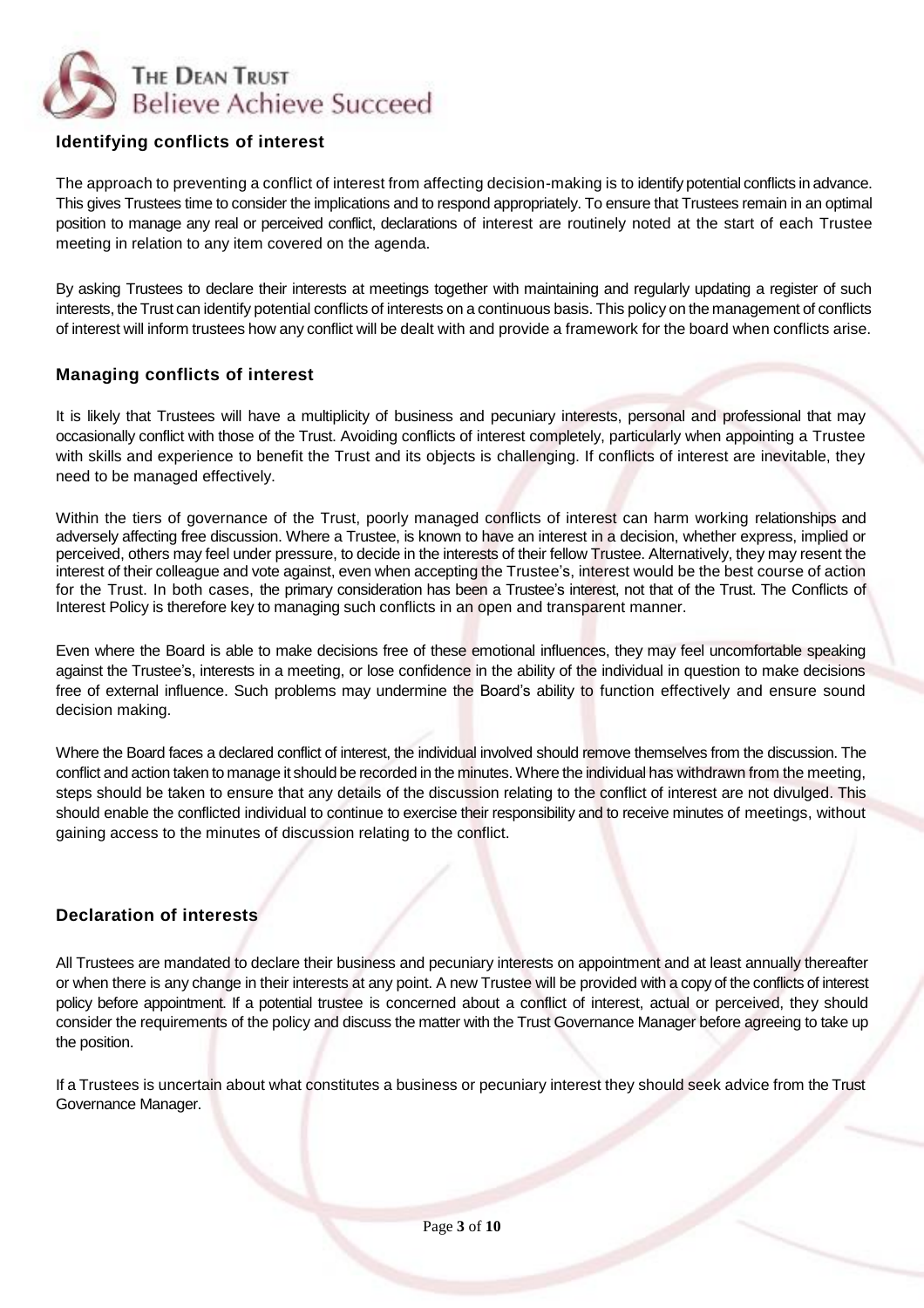

# **Identifying conflicts of interest**

The approach to preventing a conflict of interest from affecting decision-making is to identify potential conflicts in advance. This gives Trustees time to consider the implications and to respond appropriately. To ensure that Trustees remain in an optimal position to manage any real or perceived conflict, declarations of interest are routinely noted at the start of each Trustee meeting in relation to any item covered on the agenda.

By asking Trustees to declare their interests at meetings together with maintaining and regularly updating a register of such interests, the Trust can identify potential conflicts of interests on a continuous basis. This policy on the management of conflicts of interest will inform trustees how any conflict will be dealt with and provide a framework for the board when conflicts arise.

# **Managing conflicts of interest**

It is likely that Trustees will have a multiplicity of business and pecuniary interests, personal and professional that may occasionally conflict with those of the Trust. Avoiding conflicts of interest completely, particularly when appointing a Trustee with skills and experience to benefit the Trust and its objects is challenging. If conflicts of interest are inevitable, they need to be managed effectively.

Within the tiers of governance of the Trust, poorly managed conflicts of interest can harm working relationships and adversely affecting free discussion. Where a Trustee, is known to have an interest in a decision, whether express, implied or perceived, others may feel under pressure, to decide in the interests of their fellow Trustee. Alternatively, they may resent the interest of their colleague and vote against, even when accepting the Trustee's, interest would be the best course of action for the Trust. In both cases, the primary consideration has been a Trustee's interest, not that of the Trust. The Conflicts of Interest Policy is therefore key to managing such conflicts in an open and transparent manner.

Even where the Board is able to make decisions free of these emotional influences, they may feel uncomfortable speaking against the Trustee's, interests in a meeting, or lose confidence in the ability of the individual in question to make decisions free of external influence. Such problems may undermine the Board's ability to function effectively and ensure sound decision making.

Where the Board faces a declared conflict of interest, the individual involved should remove themselves from the discussion. The conflict and action taken to manage it should be recorded in the minutes. Where the individual has withdrawn from the meeting, steps should be taken to ensure that any details of the discussion relating to the conflict of interest are not divulged. This should enable the conflicted individual to continue to exercise their responsibility and to receive minutes of meetings, without gaining access to the minutes of discussion relating to the conflict.

## **Declaration of interests**

All Trustees are mandated to declare their business and pecuniary interests on appointment and at least annually thereafter or when there is any change in their interests at any point. A new Trustee will be provided with a copy of the conflicts of interest policy before appointment. If a potential trustee is concerned about a conflict of interest, actual or perceived, they should consider the requirements of the policy and discuss the matter with the Trust Governance Manager before agreeing to take up the position.

If a Trustees is uncertain about what constitutes a business or pecuniary interest they should seek advice from the Trust Governance Manager.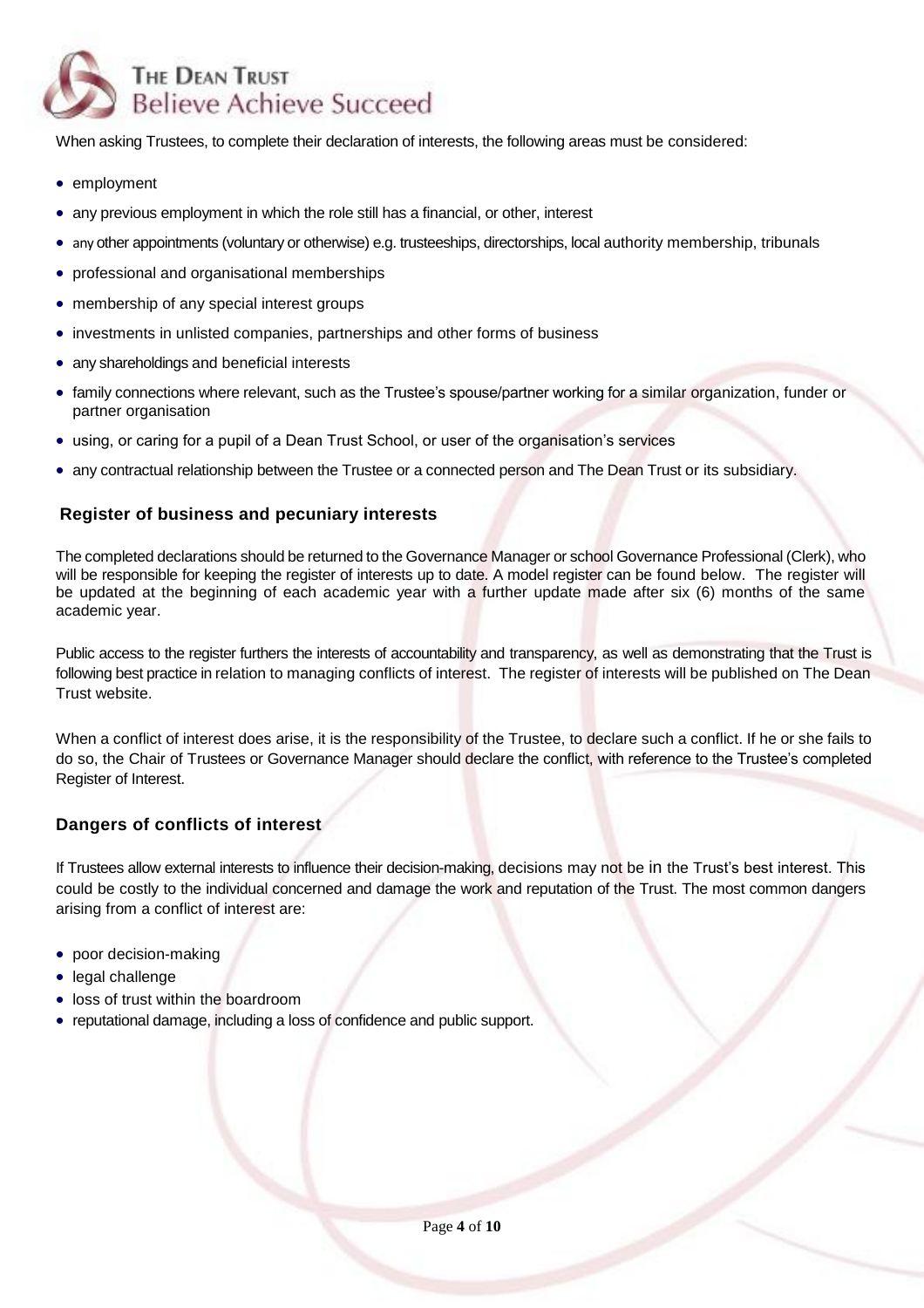

When asking Trustees, to complete their declaration of interests, the following areas must be considered:

- employment
- any previous employment in which the role still has a financial, or other, interest
- any other appointments (voluntary or otherwise) e.g. trusteeships, directorships, local authority membership, tribunals
- professional and organisational memberships
- membership of any special interest groups
- investments in unlisted companies, partnerships and other forms of business
- any shareholdings and beneficial interests
- family connections where relevant, such as the Trustee's spouse/partner working for a similar organization, funder or partner organisation
- using, or caring for a pupil of a Dean Trust School, or user of the organisation's services
- any contractual relationship between the Trustee or a connected person and The Dean Trust or its subsidiary.

### **Register of business and pecuniary interests**

The completed declarations should be returned to the Governance Manager or school Governance Professional (Clerk), who will be responsible for keeping the register of interests up to date. A model register can be found below. The register will be updated at the beginning of each academic year with a further update made after six (6) months of the same academic year.

Public access to the register furthers the interests of accountability and transparency, as well as demonstrating that the Trust is following best practice in relation to managing conflicts of interest. The register of interests will be published on The Dean Trust website.

When a conflict of interest does arise, it is the responsibility of the Trustee, to declare such a conflict. If he or she fails to do so, the Chair of Trustees or Governance Manager should declare the conflict, with reference to the Trustee's completed Register of Interest.

## **Dangers of conflicts of interest**

If Trustees allow external interests to influence their decision-making, decisions may not be in the Trust's best interest. This could be costly to the individual concerned and damage the work and reputation of the Trust. The most common dangers arising from a conflict of interest are:

- poor decision-making
- legal challenge
- loss of trust within the boardroom
- reputational damage, including a loss of confidence and public support.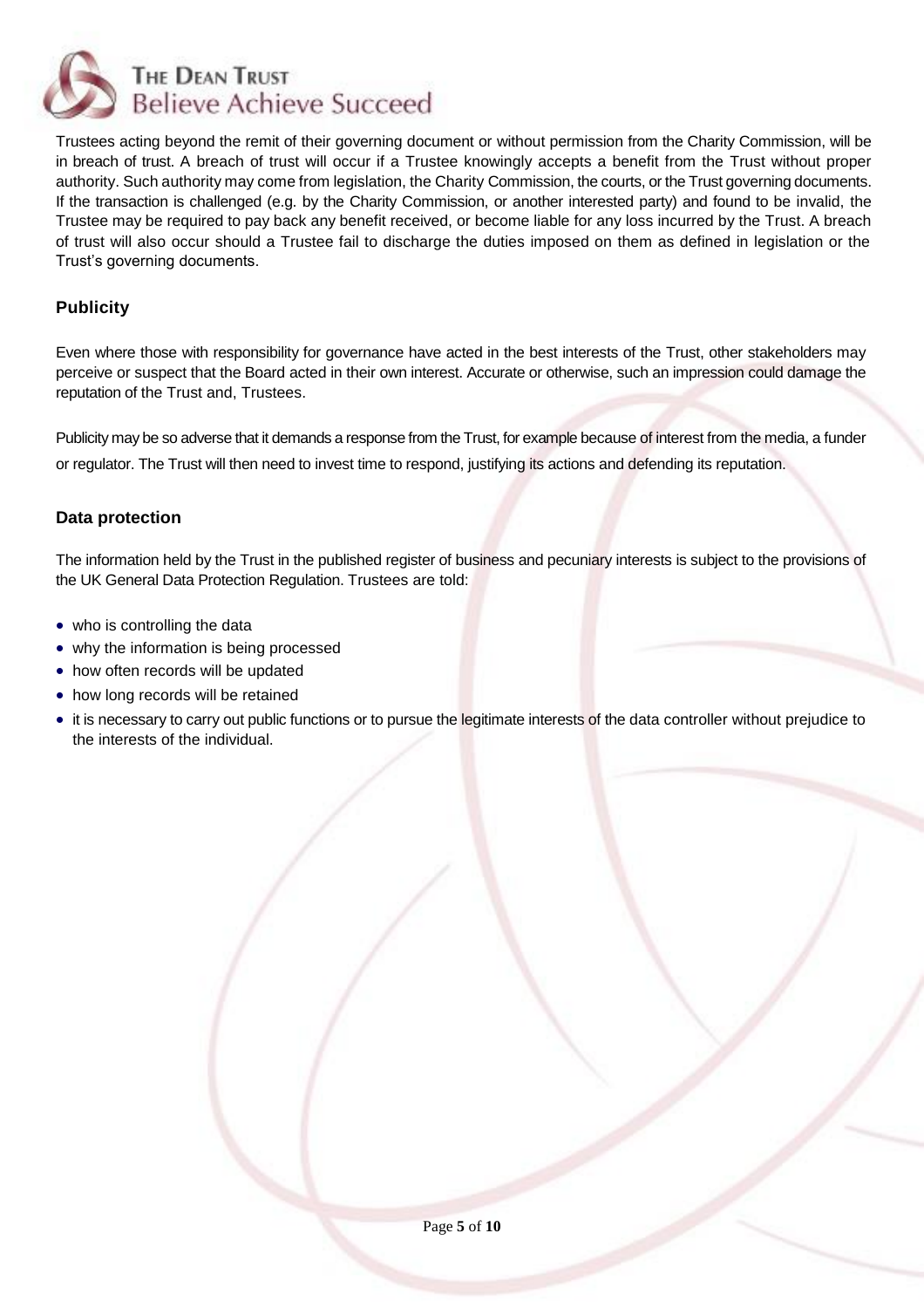

Trustees acting beyond the remit of their governing document or without permission from the Charity Commission, will be in breach of trust. A breach of trust will occur if a Trustee knowingly accepts a benefit from the Trust without proper authority. Such authority may come from legislation, the Charity Commission, the courts, or the Trust governing documents. If the transaction is challenged (e.g. by the Charity Commission, or another interested party) and found to be invalid, the Trustee may be required to pay back any benefit received, or become liable for any loss incurred by the Trust. A breach of trust will also occur should a Trustee fail to discharge the duties imposed on them as defined in legislation or the Trust's governing documents.

# **Publicity**

Even where those with responsibility for governance have acted in the best interests of the Trust, other stakeholders may perceive or suspect that the Board acted in their own interest. Accurate or otherwise, such an impression could damage the reputation of the Trust and, Trustees.

Publicity may be so adverse that it demands a response from the Trust, for example because of interest from the media, a funder or regulator. The Trust will then need to invest time to respond, justifying its actions and defending its reputation.

## **Data protection**

The information held by the Trust in the published register of business and pecuniary interests is subject to the provisions of the UK General Data Protection Regulation. Trustees are told:

- who is controlling the data
- why the information is being processed
- how often records will be updated
- how long records will be retained
- it is necessary to carry out public functions or to pursue the legitimate interests of the data controller without prejudice to the interests of the individual.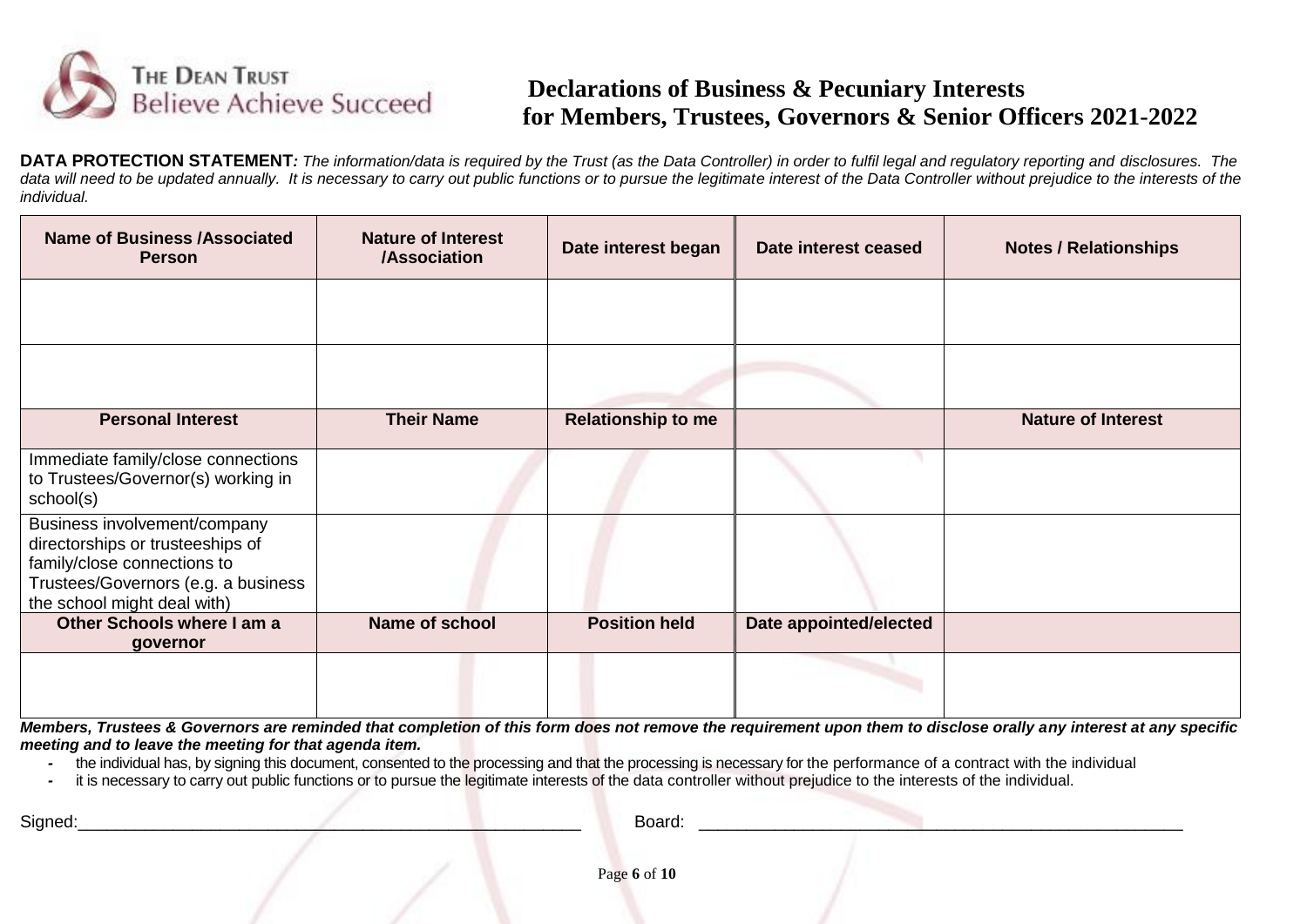

# **Declarations of Business & Pecuniary Interests for Members, Trustees, Governors & Senior Officers 2021-2022**

**DATA PROTECTION STATEMENT**: The information/data is required by the Trust (as the Data Controller) in order to fulfil legal and regulatory reporting and disclosures. The data will need to be updated annually. It is necessary to carry out public functions or to pursue the legitimate interest of the Data Controller without prejudice to the interests of the *individual.*

| <b>Name of Business /Associated</b><br><b>Person</b>                                                                                                                  | <b>Nature of Interest</b><br><b>/Association</b> | Date interest began       | Date interest ceased   | <b>Notes / Relationships</b> |
|-----------------------------------------------------------------------------------------------------------------------------------------------------------------------|--------------------------------------------------|---------------------------|------------------------|------------------------------|
|                                                                                                                                                                       |                                                  |                           |                        |                              |
|                                                                                                                                                                       |                                                  |                           |                        |                              |
| <b>Personal Interest</b>                                                                                                                                              | <b>Their Name</b>                                | <b>Relationship to me</b> |                        | <b>Nature of Interest</b>    |
| Immediate family/close connections<br>to Trustees/Governor(s) working in<br>school(s)                                                                                 |                                                  |                           |                        |                              |
| Business involvement/company<br>directorships or trusteeships of<br>family/close connections to<br>Trustees/Governors (e.g. a business<br>the school might deal with) |                                                  |                           |                        |                              |
| Other Schools where I am a<br>governor                                                                                                                                | Name of school                                   | <b>Position held</b>      | Date appointed/elected |                              |
|                                                                                                                                                                       |                                                  |                           |                        |                              |

*Members, Trustees & Governors are reminded that completion of this form does not remove the requirement upon them to disclose orally any interest at any specific meeting and to leave the meeting for that agenda item.* 

*-* the individual has, by signing this document, consented to the processing and that the processing is necessary for the performance of a contract with the individual

*-* it is necessary to carry out public functions or to pursue the legitimate interests of the data controller without prejudice to the interests of the individual.

Signed:\_\_\_\_\_\_\_\_\_\_\_\_\_\_\_\_\_\_\_\_\_\_\_\_\_\_\_\_\_\_\_\_\_\_\_\_\_\_\_\_\_\_\_\_\_\_\_\_\_\_\_\_\_ Board: \_\_\_\_\_\_\_\_\_\_\_\_\_\_\_\_\_\_\_\_\_\_\_\_\_\_\_\_\_\_\_\_\_\_\_\_\_\_\_\_\_\_\_\_\_\_\_\_\_\_\_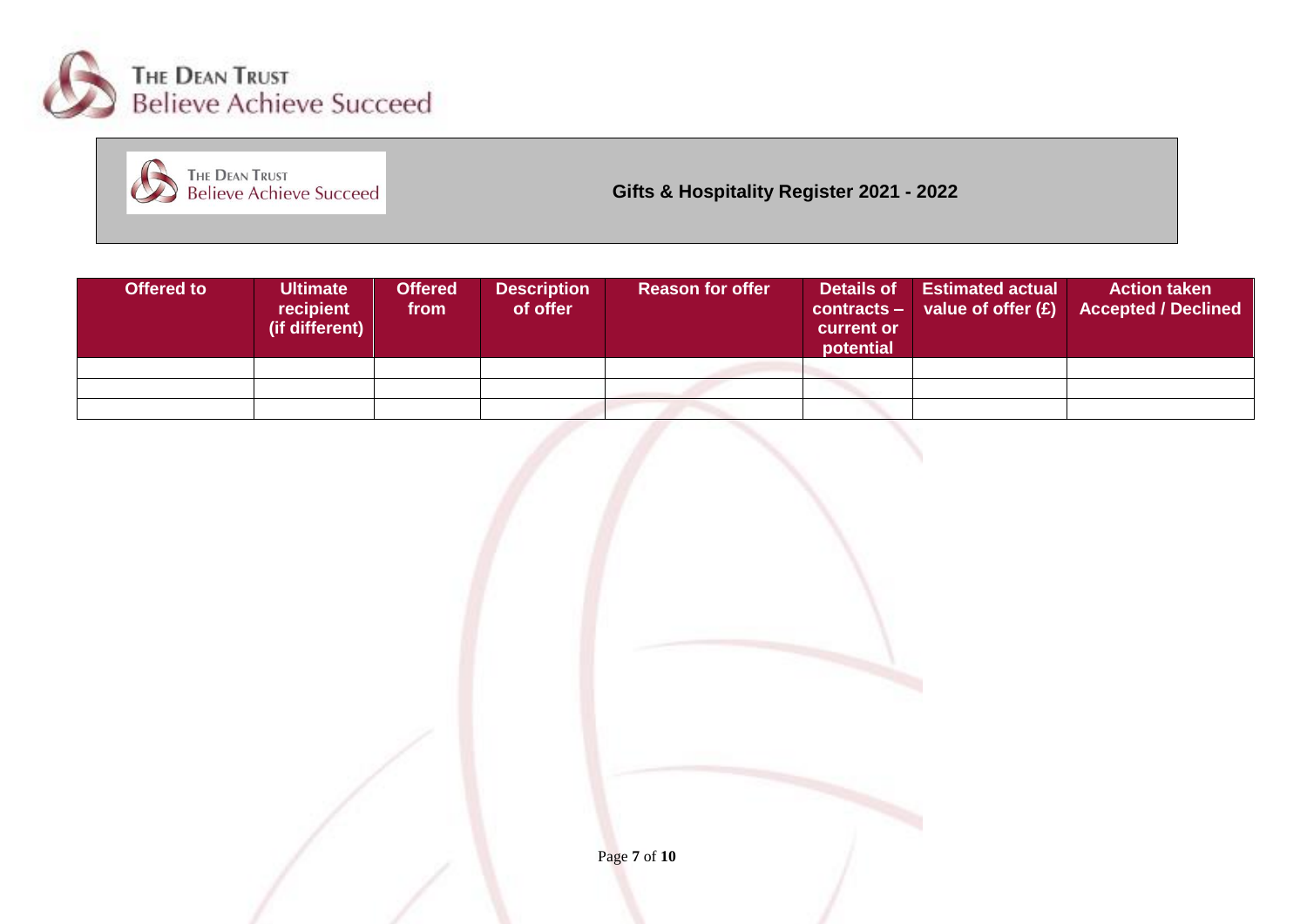



**Gifts & Hospitality Register 2021 - 2022**

| Offered to | <b>Ultimate</b><br>recipient<br>(if different) | <b>Offered</b><br>from | <b>Description</b><br>of offer | <b>Reason for offer</b> | Details of<br>$contracts -$<br>current or<br>potential | <b>Estimated actual</b><br>value of offer $(E)$ | <b>Action taken</b><br><b>Accepted / Declined</b> |
|------------|------------------------------------------------|------------------------|--------------------------------|-------------------------|--------------------------------------------------------|-------------------------------------------------|---------------------------------------------------|
|            |                                                |                        |                                |                         |                                                        |                                                 |                                                   |
|            |                                                |                        |                                |                         |                                                        |                                                 |                                                   |
|            |                                                |                        |                                |                         |                                                        |                                                 |                                                   |

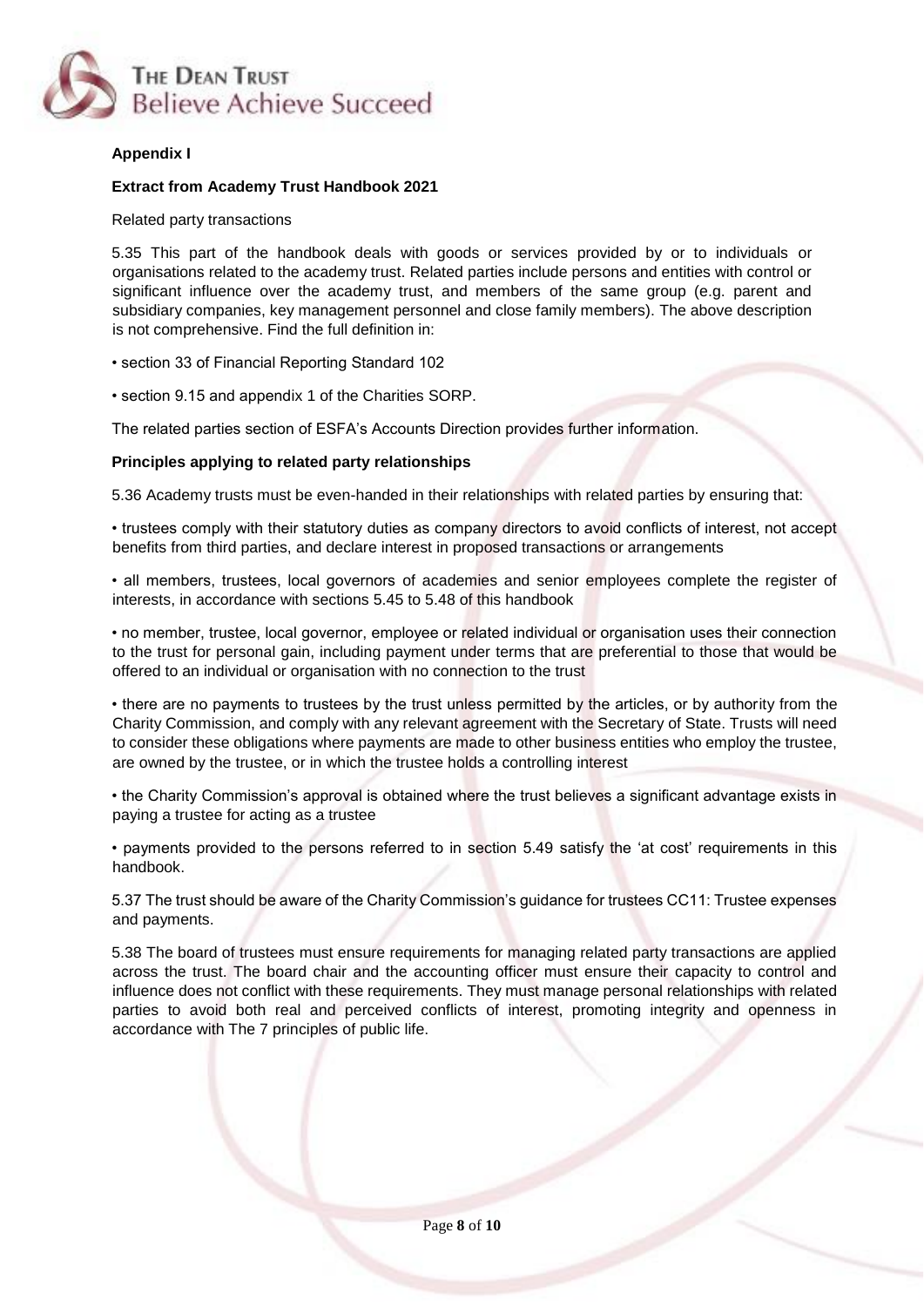

### **Appendix I**

#### **Extract from Academy Trust Handbook 2021**

Related party transactions

5.35 This part of the handbook deals with goods or services provided by or to individuals or organisations related to the academy trust. Related parties include persons and entities with control or significant influence over the academy trust, and members of the same group (e.g. parent and subsidiary companies, key management personnel and close family members). The above description is not comprehensive. Find the full definition in:

• section 33 of Financial Reporting Standard 102

• section 9.15 and appendix 1 of the Charities SORP.

The related parties section of ESFA's Accounts Direction provides further information.

#### **Principles applying to related party relationships**

5.36 Academy trusts must be even-handed in their relationships with related parties by ensuring that:

• trustees comply with their statutory duties as company directors to avoid conflicts of interest, not accept benefits from third parties, and declare interest in proposed transactions or arrangements

• all members, trustees, local governors of academies and senior employees complete the register of interests, in accordance with sections 5.45 to 5.48 of this handbook

• no member, trustee, local governor, employee or related individual or organisation uses their connection to the trust for personal gain, including payment under terms that are preferential to those that would be offered to an individual or organisation with no connection to the trust

• there are no payments to trustees by the trust unless permitted by the articles, or by authority from the Charity Commission, and comply with any relevant agreement with the Secretary of State. Trusts will need to consider these obligations where payments are made to other business entities who employ the trustee, are owned by the trustee, or in which the trustee holds a controlling interest

• the Charity Commission's approval is obtained where the trust believes a significant advantage exists in paying a trustee for acting as a trustee

• payments provided to the persons referred to in section 5.49 satisfy the 'at cost' requirements in this handbook.

5.37 The trust should be aware of the Charity Commission's guidance for trustees CC11: Trustee expenses and payments.

5.38 The board of trustees must ensure requirements for managing related party transactions are applied across the trust. The board chair and the accounting officer must ensure their capacity to control and influence does not conflict with these requirements. They must manage personal relationships with related parties to avoid both real and perceived conflicts of interest, promoting integrity and openness in accordance with The 7 principles of public life.

Page **8** of **10**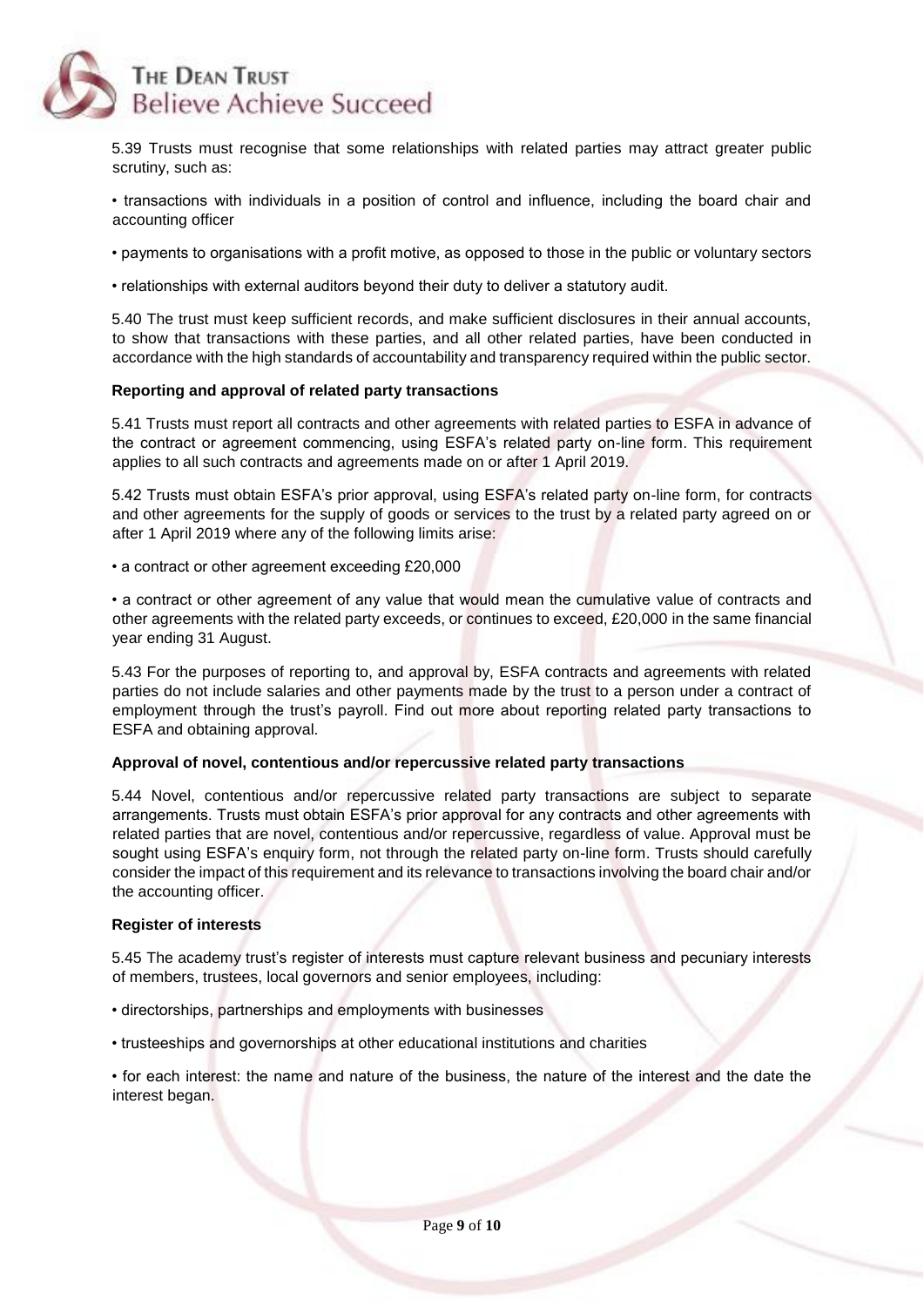

5.39 Trusts must recognise that some relationships with related parties may attract greater public scrutiny, such as:

• transactions with individuals in a position of control and influence, including the board chair and accounting officer

• payments to organisations with a profit motive, as opposed to those in the public or voluntary sectors

• relationships with external auditors beyond their duty to deliver a statutory audit.

5.40 The trust must keep sufficient records, and make sufficient disclosures in their annual accounts, to show that transactions with these parties, and all other related parties, have been conducted in accordance with the high standards of accountability and transparency required within the public sector.

#### **Reporting and approval of related party transactions**

5.41 Trusts must report all contracts and other agreements with related parties to ESFA in advance of the contract or agreement commencing, using ESFA's related party on-line form. This requirement applies to all such contracts and agreements made on or after 1 April 2019.

5.42 Trusts must obtain ESFA's prior approval, using ESFA's related party on-line form, for contracts and other agreements for the supply of goods or services to the trust by a related party agreed on or after 1 April 2019 where any of the following limits arise:

• a contract or other agreement exceeding £20,000

• a contract or other agreement of any value that would mean the cumulative value of contracts and other agreements with the related party exceeds, or continues to exceed, £20,000 in the same financial year ending 31 August.

5.43 For the purposes of reporting to, and approval by, ESFA contracts and agreements with related parties do not include salaries and other payments made by the trust to a person under a contract of employment through the trust's payroll. Find out more about reporting related party transactions to ESFA and obtaining approval.

#### **Approval of novel, contentious and/or repercussive related party transactions**

5.44 Novel, contentious and/or repercussive related party transactions are subject to separate arrangements. Trusts must obtain ESFA's prior approval for any contracts and other agreements with related parties that are novel, contentious and/or repercussive, regardless of value. Approval must be sought using ESFA's enquiry form, not through the related party on-line form. Trusts should carefully consider the impact of this requirement and its relevance to transactions involving the board chair and/or the accounting officer.

#### **Register of interests**

5.45 The academy trust's register of interests must capture relevant business and pecuniary interests of members, trustees, local governors and senior employees, including:

- directorships, partnerships and employments with businesses
- trusteeships and governorships at other educational institutions and charities

• for each interest: the name and nature of the business, the nature of the interest and the date the interest began.